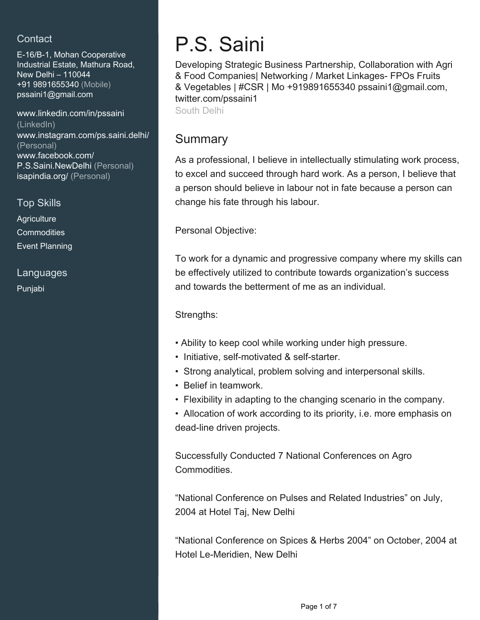### **Contact**

E-16/B-1, Mohan Cooperative Industrial Estate, Mathura Road, New Delhi – 110044 +91 9891655340 (Mobile) [pssaini1@gmail.com](mailto:pssaini1@gmail.com)

[www.linkedin.com/in/pssaini](https://www.linkedin.com/in/pssaini?jobid=1234&lipi=urn%3Ali%3Apage%3Ad_jobs_easyapply_pdfgenresume%3BeqRjhAg4S6qT3DzDGEFzOg%3D%3D&licu=urn%3Ali%3Acontrol%3Ad_jobs_easyapply_pdfgenresume-v02_profile) [\(LinkedIn\)](https://www.linkedin.com/in/pssaini?jobid=1234&lipi=urn%3Ali%3Apage%3Ad_jobs_easyapply_pdfgenresume%3BeqRjhAg4S6qT3DzDGEFzOg%3D%3D&licu=urn%3Ali%3Acontrol%3Ad_jobs_easyapply_pdfgenresume-v02_profile) [www.instagram.com/ps.saini.delhi/](https://www.instagram.com/ps.saini.delhi/) [\(Personal\)](https://www.instagram.com/ps.saini.delhi/) [www.facebook.com/](https://www.facebook.com/P.S.Saini.NewDelhi) [P.S.Saini.NewDelhi \(Personal\)](https://www.facebook.com/P.S.Saini.NewDelhi) [isapindia.org/ \(Personal\)](https://isapindia.org/)

Top Skills

**Agriculture Commodities** Event Planning

Languages

Punjabi

# P.S. Saini

Developing Strategic Business Partnership, Collaboration with Agri & Food Companies| Networking / Market Linkages- FPOs Fruits & Vegetables | #CSR | Mo +919891655340 pssaini1@gmail.com, twitter.com/pssaini1 South Delhi

# Summary

As a professional, I believe in intellectually stimulating work process, to excel and succeed through hard work. As a person, I believe that a person should believe in labour not in fate because a person can change his fate through his labour.

Personal Objective:

To work for a dynamic and progressive company where my skills can be effectively utilized to contribute towards organization's success and towards the betterment of me as an individual.

Strengths:

- Ability to keep cool while working under high pressure.
- Initiative, self-motivated & self-starter.
- Strong analytical, problem solving and interpersonal skills.
- Belief in teamwork.
- Flexibility in adapting to the changing scenario in the company.
- Allocation of work according to its priority, i.e. more emphasis on dead-line driven projects.

Successfully Conducted 7 National Conferences on Agro Commodities.

"National Conference on Pulses and Related Industries" on July, 2004 at Hotel Taj, New Delhi

"National Conference on Spices & Herbs 2004" on October, 2004 at Hotel Le-Meridien, New Delhi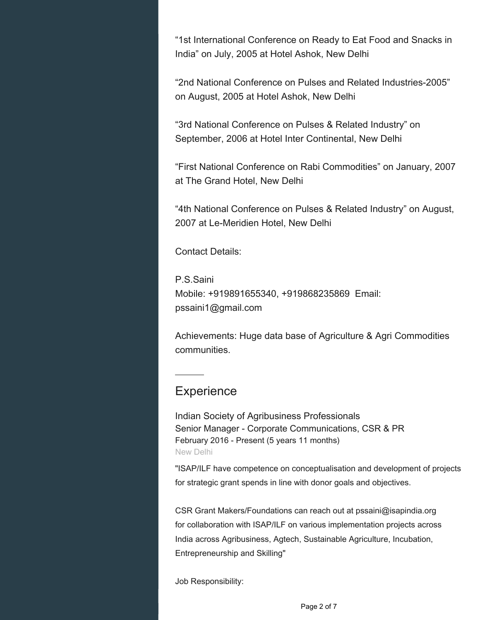"1st International Conference on Ready to Eat Food and Snacks in India" on July, 2005 at Hotel Ashok, New Delhi

"2nd National Conference on Pulses and Related Industries-2005" on August, 2005 at Hotel Ashok, New Delhi

"3rd National Conference on Pulses & Related Industry" on September, 2006 at Hotel Inter Continental, New Delhi

"First National Conference on Rabi Commodities" on January, 2007 at The Grand Hotel, New Delhi

"4th National Conference on Pulses & Related Industry" on August, 2007 at Le-Meridien Hotel, New Delhi

Contact Details:

P.S.Saini Mobile: +919891655340, +919868235869 Email: pssaini1@gmail.com

Achievements: Huge data base of Agriculture & Agri Commodities communities.

## **Experience**

Indian Society of Agribusiness Professionals Senior Manager - Corporate Communications, CSR & PR February 2016 - Present (5 years 11 months) New Delhi

"ISAP/ILF have competence on conceptualisation and development of projects for strategic grant spends in line with donor goals and objectives.

CSR Grant Makers/Foundations can reach out at pssaini@isapindia.org for collaboration with ISAP/ILF on various implementation projects across India across Agribusiness, Agtech, Sustainable Agriculture, Incubation, Entrepreneurship and Skilling"

Job Responsibility: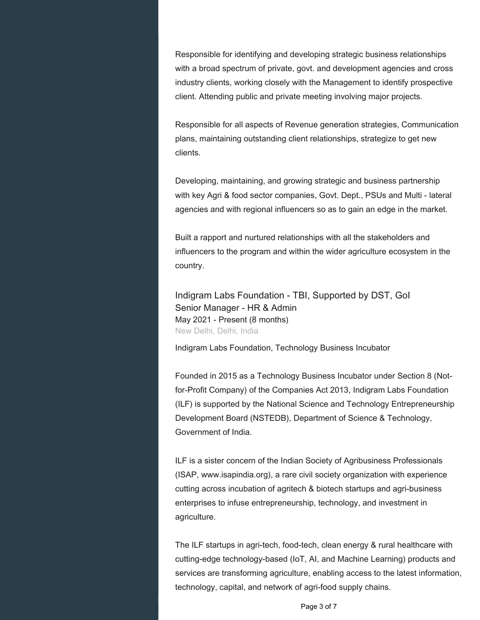Responsible for identifying and developing strategic business relationships with a broad spectrum of private, govt. and development agencies and cross industry clients, working closely with the Management to identify prospective client. Attending public and private meeting involving major projects.

Responsible for all aspects of Revenue generation strategies, Communication plans, maintaining outstanding client relationships, strategize to get new clients.

Developing, maintaining, and growing strategic and business partnership with key Agri & food sector companies, Govt. Dept., PSUs and Multi - lateral agencies and with regional influencers so as to gain an edge in the market.

Built a rapport and nurtured relationships with all the stakeholders and influencers to the program and within the wider agriculture ecosystem in the country.

Indigram Labs Foundation - TBI, Supported by DST, GoI Senior Manager - HR & Admin May 2021 - Present (8 months) New Delhi, Delhi, India

Indigram Labs Foundation, Technology Business Incubator

Founded in 2015 as a Technology Business Incubator under Section 8 (Notfor-Profit Company) of the Companies Act 2013, Indigram Labs Foundation (ILF) is supported by the National Science and Technology Entrepreneurship Development Board (NSTEDB), Department of Science & Technology, Government of India.

ILF is a sister concern of the Indian Society of Agribusiness Professionals (ISAP, www.isapindia.org), a rare civil society organization with experience cutting across incubation of agritech & biotech startups and agri-business enterprises to infuse entrepreneurship, technology, and investment in agriculture.

The ILF startups in agri-tech, food-tech, clean energy & rural healthcare with cutting-edge technology-based (IoT, AI, and Machine Learning) products and services are transforming agriculture, enabling access to the latest information, technology, capital, and network of agri-food supply chains.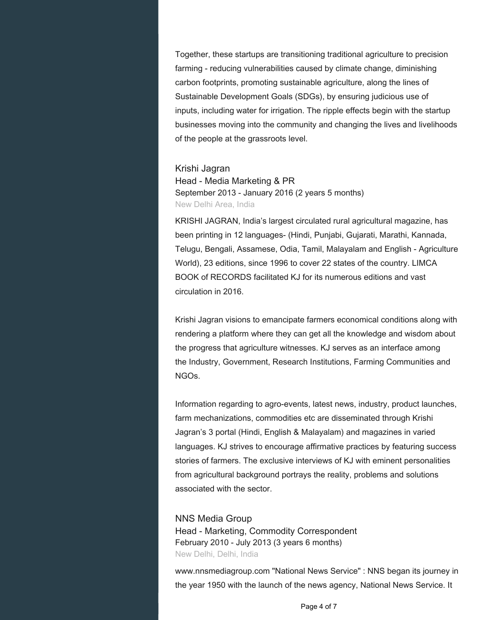Together, these startups are transitioning traditional agriculture to precision farming - reducing vulnerabilities caused by climate change, diminishing carbon footprints, promoting sustainable agriculture, along the lines of Sustainable Development Goals (SDGs), by ensuring judicious use of inputs, including water for irrigation. The ripple effects begin with the startup businesses moving into the community and changing the lives and livelihoods of the people at the grassroots level.

#### Krishi Jagran

Head - Media Marketing & PR September 2013 - January 2016 (2 years 5 months) New Delhi Area, India

KRISHI JAGRAN, India's largest circulated rural agricultural magazine, has been printing in 12 languages- (Hindi, Punjabi, Gujarati, Marathi, Kannada, Telugu, Bengali, Assamese, Odia, Tamil, Malayalam and English - Agriculture World), 23 editions, since 1996 to cover 22 states of the country. LIMCA BOOK of RECORDS facilitated KJ for its numerous editions and vast circulation in 2016.

Krishi Jagran visions to emancipate farmers economical conditions along with rendering a platform where they can get all the knowledge and wisdom about the progress that agriculture witnesses. KJ serves as an interface among the Industry, Government, Research Institutions, Farming Communities and NGOs.

Information regarding to agro-events, latest news, industry, product launches, farm mechanizations, commodities etc are disseminated through Krishi Jagran's 3 portal (Hindi, English & Malayalam) and magazines in varied languages. KJ strives to encourage affirmative practices by featuring success stories of farmers. The exclusive interviews of KJ with eminent personalities from agricultural background portrays the reality, problems and solutions associated with the sector.

#### NNS Media Group

Head - Marketing, Commodity Correspondent February 2010 - July 2013 (3 years 6 months) New Delhi, Delhi, India

www.nnsmediagroup.com "National News Service" : NNS began its journey in the year 1950 with the launch of the news agency, National News Service. It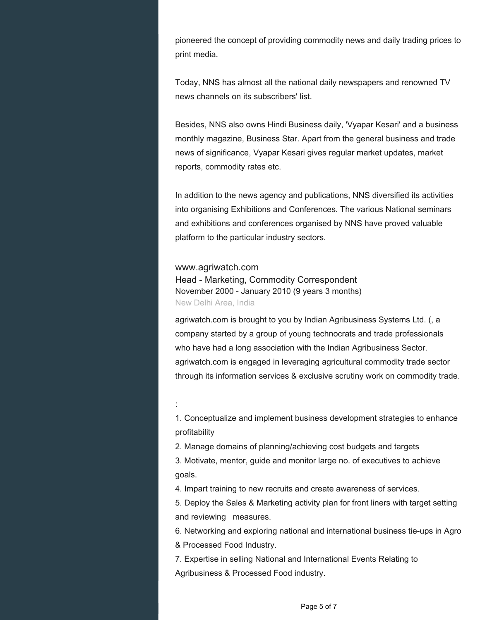pioneered the concept of providing commodity news and daily trading prices to print media.

Today, NNS has almost all the national daily newspapers and renowned TV news channels on its subscribers' list.

Besides, NNS also owns Hindi Business daily, 'Vyapar Kesari' and a business monthly magazine, Business Star. Apart from the general business and trade news of significance, Vyapar Kesari gives regular market updates, market reports, commodity rates etc.

In addition to the news agency and publications, NNS diversified its activities into organising Exhibitions and Conferences. The various National seminars and exhibitions and conferences organised by NNS have proved valuable platform to the particular industry sectors.

#### www.agriwatch.com

Head - Marketing, Commodity Correspondent November 2000 - January 2010 (9 years 3 months) New Delhi Area, India

agriwatch.com is brought to you by Indian Agribusiness Systems Ltd. (, a company started by a group of young technocrats and trade professionals who have had a long association with the Indian Agribusiness Sector. agriwatch.com is engaged in leveraging agricultural commodity trade sector through its information services & exclusive scrutiny work on commodity trade.

:

1. Conceptualize and implement business development strategies to enhance profitability

2. Manage domains of planning/achieving cost budgets and targets

3. Motivate, mentor, guide and monitor large no. of executives to achieve goals.

4. Impart training to new recruits and create awareness of services.

5. Deploy the Sales & Marketing activity plan for front liners with target setting and reviewing measures.

6. Networking and exploring national and international business tie-ups in Agro & Processed Food Industry.

7. Expertise in selling National and International Events Relating to Agribusiness & Processed Food industry.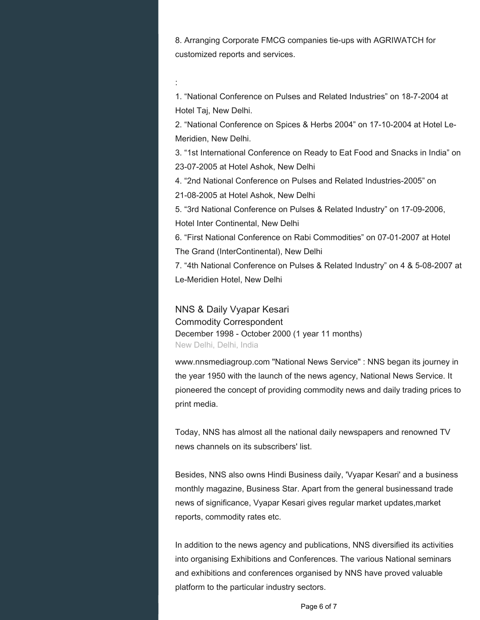8. Arranging Corporate FMCG companies tie-ups with AGRIWATCH for customized reports and services.

:

1. "National Conference on Pulses and Related Industries" on 18-7-2004 at Hotel Taj, New Delhi.

2. "National Conference on Spices & Herbs 2004" on 17-10-2004 at Hotel Le-Meridien, New Delhi.

3. "1st International Conference on Ready to Eat Food and Snacks in India" on 23-07-2005 at Hotel Ashok, New Delhi

4. "2nd National Conference on Pulses and Related Industries-2005" on

21-08-2005 at Hotel Ashok, New Delhi

5. "3rd National Conference on Pulses & Related Industry" on 17-09-2006, Hotel Inter Continental, New Delhi

6. "First National Conference on Rabi Commodities" on 07-01-2007 at Hotel The Grand (InterContinental), New Delhi

7. "4th National Conference on Pulses & Related Industry" on 4 & 5-08-2007 at Le-Meridien Hotel, New Delhi

NNS & Daily Vyapar Kesari Commodity Correspondent December 1998 - October 2000 (1 year 11 months) New Delhi, Delhi, India

www.nnsmediagroup.com "National News Service" : NNS began its journey in the year 1950 with the launch of the news agency, National News Service. It pioneered the concept of providing commodity news and daily trading prices to print media.

Today, NNS has almost all the national daily newspapers and renowned TV news channels on its subscribers' list.

Besides, NNS also owns Hindi Business daily, 'Vyapar Kesari' and a business monthly magazine, Business Star. Apart from the general businessand trade news of significance, Vyapar Kesari gives regular market updates,market reports, commodity rates etc.

In addition to the news agency and publications, NNS diversified its activities into organising Exhibitions and Conferences. The various National seminars and exhibitions and conferences organised by NNS have proved valuable platform to the particular industry sectors.